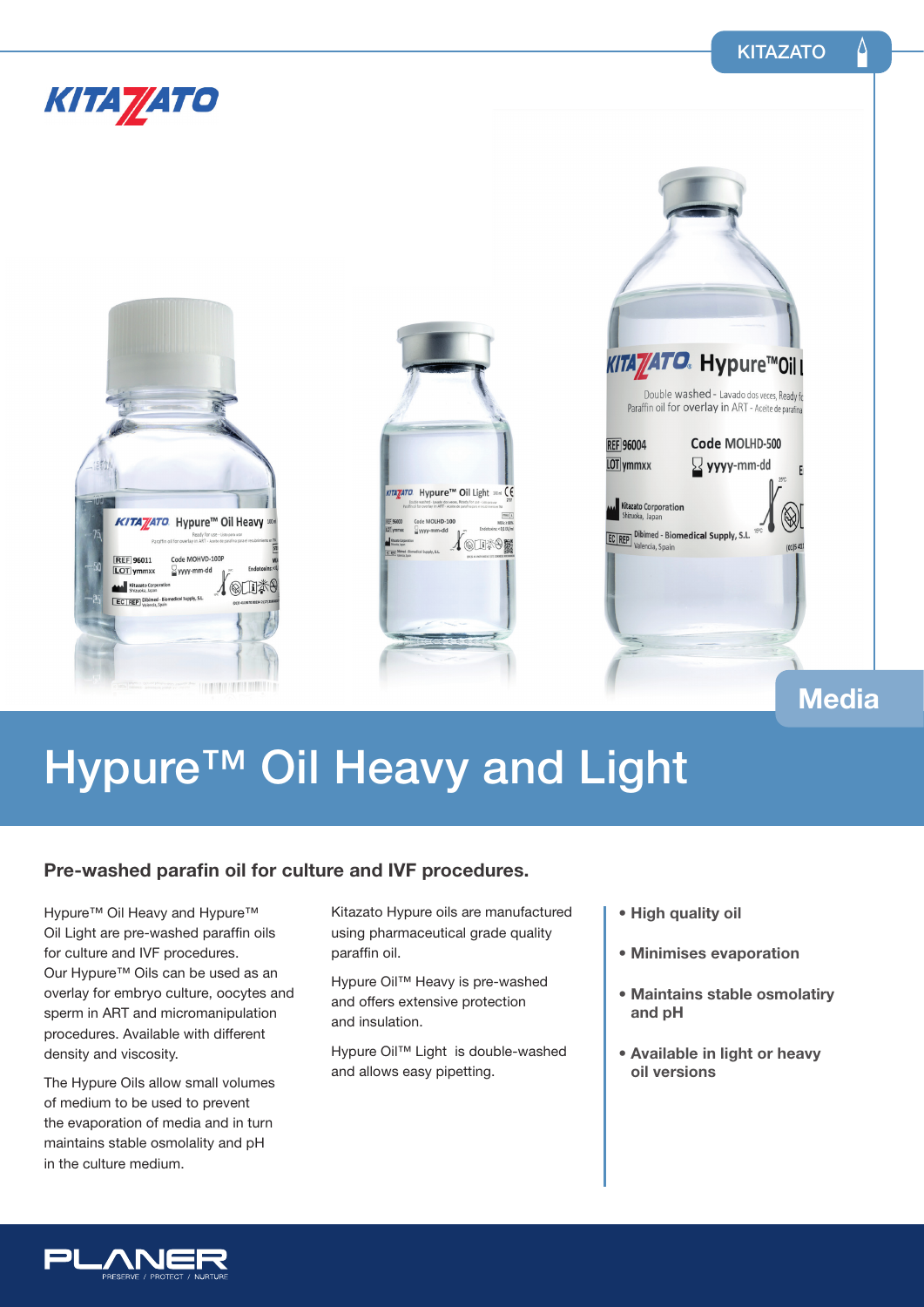

# Hypure<sup>™</sup> Oil Heavy and Light

### Pre-washed parafin oil for culture and IVF procedures.

Hypure<sup>™</sup> Oil Heavy and Hypure™ Oil Light are pre-washed paraffin oils for culture and IVF procedures. Our Hypure™ Oils can be used as an overlay for embryo culture, oocytes and sperm in ART and micromanipulation procedures. Available with different density and viscosity.

The Hypure Oils allow small volumes of medium to be used to prevent the evaporation of media and in turn maintains stable osmolality and pH in the culture medium.

Kitazato Hypure oils are manufactured using pharmaceutical grade quality paraffin oil.

Hypure Oil™ Heavy is pre-washed and offers extensive protection and insulation.

Hypure Oil™ Light is double-washed and allows easy pipetting.

- **High quality oil**
- **Minimises evaporation**
- **Maintains stable osmolatiry and pH**
- **Available in light or heavy oil versions**